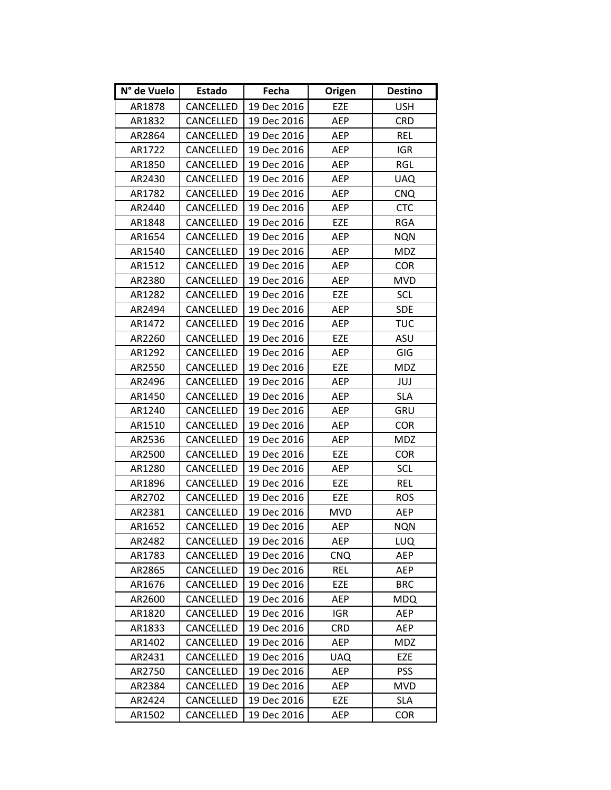| N° de Vuelo | Estado    | Fecha       | Origen     | <b>Destino</b> |
|-------------|-----------|-------------|------------|----------------|
| AR1878      | CANCELLED | 19 Dec 2016 | EZE        | <b>USH</b>     |
| AR1832      | CANCELLED | 19 Dec 2016 | <b>AEP</b> | <b>CRD</b>     |
| AR2864      | CANCELLED | 19 Dec 2016 | <b>AEP</b> | REL            |
| AR1722      | CANCELLED | 19 Dec 2016 | AEP        | <b>IGR</b>     |
| AR1850      | CANCELLED | 19 Dec 2016 | AEP        | <b>RGL</b>     |
| AR2430      | CANCELLED | 19 Dec 2016 | AEP        | <b>UAQ</b>     |
| AR1782      | CANCELLED | 19 Dec 2016 | <b>AEP</b> | <b>CNQ</b>     |
| AR2440      | CANCELLED | 19 Dec 2016 | AEP        | <b>CTC</b>     |
| AR1848      | CANCELLED | 19 Dec 2016 | EZE        | <b>RGA</b>     |
| AR1654      | CANCELLED | 19 Dec 2016 | AEP        | <b>NQN</b>     |
| AR1540      | CANCELLED | 19 Dec 2016 | <b>AEP</b> | <b>MDZ</b>     |
| AR1512      | CANCELLED | 19 Dec 2016 | AEP        | <b>COR</b>     |
| AR2380      | CANCELLED | 19 Dec 2016 | AEP        | <b>MVD</b>     |
| AR1282      | CANCELLED | 19 Dec 2016 | EZE        | <b>SCL</b>     |
| AR2494      | CANCELLED | 19 Dec 2016 | AEP        | <b>SDE</b>     |
| AR1472      | CANCELLED | 19 Dec 2016 | AEP        | <b>TUC</b>     |
| AR2260      | CANCELLED | 19 Dec 2016 | EZE        | ASU            |
| AR1292      | CANCELLED | 19 Dec 2016 | <b>AEP</b> | GIG            |
| AR2550      | CANCELLED | 19 Dec 2016 | EZE        | <b>MDZ</b>     |
| AR2496      | CANCELLED | 19 Dec 2016 | AEP        | JUJ            |
| AR1450      | CANCELLED | 19 Dec 2016 | AEP        | <b>SLA</b>     |
| AR1240      | CANCELLED | 19 Dec 2016 | <b>AEP</b> | GRU            |
| AR1510      | CANCELLED | 19 Dec 2016 | AEP        | <b>COR</b>     |
| AR2536      | CANCELLED | 19 Dec 2016 | <b>AEP</b> | <b>MDZ</b>     |
| AR2500      | CANCELLED | 19 Dec 2016 | EZE        | <b>COR</b>     |
| AR1280      | CANCELLED | 19 Dec 2016 | AEP        | SCL            |
| AR1896      | CANCELLED | 19 Dec 2016 | EZE        | <b>REL</b>     |
| AR2702      | CANCELLED | 19 Dec 2016 | EZE        | <b>ROS</b>     |
| AR2381      | CANCELLED | 19 Dec 2016 | <b>MVD</b> | AEP            |
| AR1652      | CANCELLED | 19 Dec 2016 | AEP        | <b>NQN</b>     |
| AR2482      | CANCELLED | 19 Dec 2016 | AEP        | LUQ            |
| AR1783      | CANCELLED | 19 Dec 2016 | <b>CNQ</b> | AEP            |
| AR2865      | CANCELLED | 19 Dec 2016 | <b>REL</b> | <b>AEP</b>     |
| AR1676      | CANCELLED | 19 Dec 2016 | EZE        | <b>BRC</b>     |
| AR2600      | CANCELLED | 19 Dec 2016 | AEP        | <b>MDQ</b>     |
| AR1820      | CANCELLED | 19 Dec 2016 | <b>IGR</b> | AEP            |
| AR1833      | CANCELLED | 19 Dec 2016 | <b>CRD</b> | AEP            |
| AR1402      | CANCELLED | 19 Dec 2016 | AEP        | <b>MDZ</b>     |
| AR2431      | CANCELLED | 19 Dec 2016 | <b>UAQ</b> | EZE            |
| AR2750      | CANCELLED | 19 Dec 2016 | AEP        | <b>PSS</b>     |
| AR2384      | CANCELLED | 19 Dec 2016 | AEP        | <b>MVD</b>     |
| AR2424      | CANCELLED | 19 Dec 2016 | EZE        | <b>SLA</b>     |
| AR1502      | CANCELLED | 19 Dec 2016 | AEP        | <b>COR</b>     |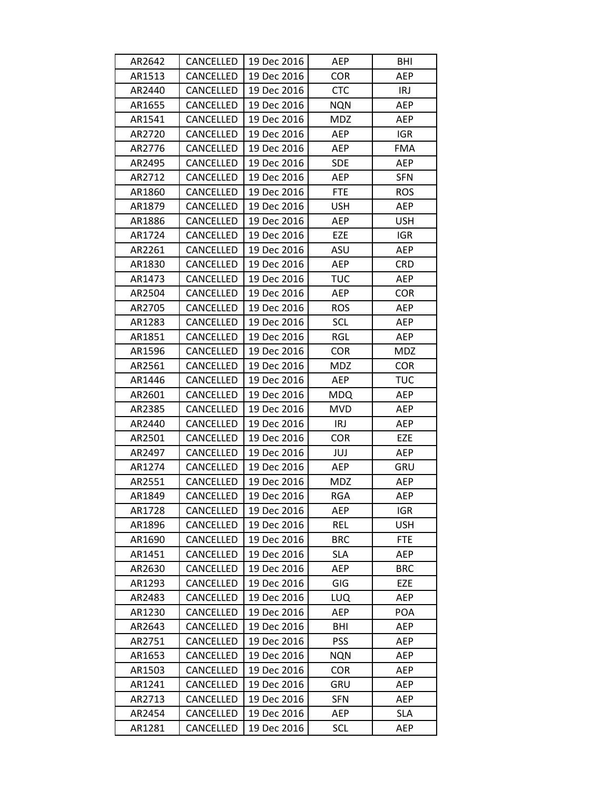| AR2642 | CANCELLED | 19 Dec 2016 | AEP        | BHI        |
|--------|-----------|-------------|------------|------------|
| AR1513 | CANCELLED | 19 Dec 2016 | <b>COR</b> | AEP        |
| AR2440 | CANCELLED | 19 Dec 2016 | <b>CTC</b> | <b>IRJ</b> |
| AR1655 | CANCELLED | 19 Dec 2016 | <b>NQN</b> | AEP        |
| AR1541 | CANCELLED | 19 Dec 2016 | <b>MDZ</b> | AEP        |
| AR2720 | CANCELLED | 19 Dec 2016 | AEP        | <b>IGR</b> |
| AR2776 | CANCELLED | 19 Dec 2016 | AEP        | <b>FMA</b> |
| AR2495 | CANCELLED | 19 Dec 2016 | <b>SDE</b> | AEP        |
| AR2712 | CANCELLED | 19 Dec 2016 | <b>AEP</b> | <b>SFN</b> |
| AR1860 | CANCELLED | 19 Dec 2016 | <b>FTE</b> | <b>ROS</b> |
| AR1879 | CANCELLED | 19 Dec 2016 | <b>USH</b> | AEP        |
| AR1886 | CANCELLED | 19 Dec 2016 | AEP        | <b>USH</b> |
| AR1724 | CANCELLED | 19 Dec 2016 | EZE        | <b>IGR</b> |
| AR2261 | CANCELLED | 19 Dec 2016 | ASU        | AEP        |
| AR1830 | CANCELLED | 19 Dec 2016 | AEP        | <b>CRD</b> |
| AR1473 | CANCELLED | 19 Dec 2016 | <b>TUC</b> | AEP        |
| AR2504 | CANCELLED | 19 Dec 2016 | AEP        | <b>COR</b> |
| AR2705 | CANCELLED | 19 Dec 2016 | <b>ROS</b> | <b>AEP</b> |
| AR1283 | CANCELLED | 19 Dec 2016 | SCL        | AEP        |
| AR1851 | CANCELLED | 19 Dec 2016 | RGL        | AEP        |
| AR1596 | CANCELLED | 19 Dec 2016 | COR        | <b>MDZ</b> |
| AR2561 | CANCELLED | 19 Dec 2016 | <b>MDZ</b> | <b>COR</b> |
| AR1446 | CANCELLED | 19 Dec 2016 | AEP        | <b>TUC</b> |
| AR2601 | CANCELLED | 19 Dec 2016 | <b>MDQ</b> | AEP        |
| AR2385 | CANCELLED | 19 Dec 2016 | <b>MVD</b> | AEP        |
| AR2440 | CANCELLED | 19 Dec 2016 | <b>IRJ</b> | AEP        |
| AR2501 | CANCELLED | 19 Dec 2016 | <b>COR</b> | EZE        |
| AR2497 | CANCELLED | 19 Dec 2016 | JUJ        | AEP        |
| AR1274 | CANCELLED | 19 Dec 2016 | AEP        | GRU        |
| AR2551 | CANCELLED | 19 Dec 2016 | <b>MDZ</b> | AEP        |
| AR1849 | CANCELLED | 19 Dec 2016 | <b>RGA</b> | AEP        |
| AR1728 | CANCELLED | 19 Dec 2016 | AEP        | <b>IGR</b> |
| AR1896 | CANCELLED | 19 Dec 2016 | <b>REL</b> | <b>USH</b> |
| AR1690 | CANCELLED | 19 Dec 2016 | <b>BRC</b> | <b>FTE</b> |
| AR1451 | CANCELLED | 19 Dec 2016 | <b>SLA</b> | AEP        |
| AR2630 | CANCELLED | 19 Dec 2016 | AEP        | <b>BRC</b> |
| AR1293 | CANCELLED | 19 Dec 2016 | GIG        | EZE        |
| AR2483 | CANCELLED | 19 Dec 2016 | LUQ        | AEP        |
| AR1230 | CANCELLED | 19 Dec 2016 | AEP        | POA        |
| AR2643 | CANCELLED | 19 Dec 2016 | BHI        | AEP        |
| AR2751 | CANCELLED | 19 Dec 2016 | <b>PSS</b> | AEP        |
| AR1653 | CANCELLED | 19 Dec 2016 | NQN        | AEP        |
| AR1503 | CANCELLED | 19 Dec 2016 | <b>COR</b> | AEP        |
| AR1241 | CANCELLED | 19 Dec 2016 | GRU        | AEP        |
| AR2713 | CANCELLED | 19 Dec 2016 | <b>SFN</b> | AEP        |
| AR2454 | CANCELLED | 19 Dec 2016 | AEP        | <b>SLA</b> |
| AR1281 | CANCELLED | 19 Dec 2016 | <b>SCL</b> | AEP        |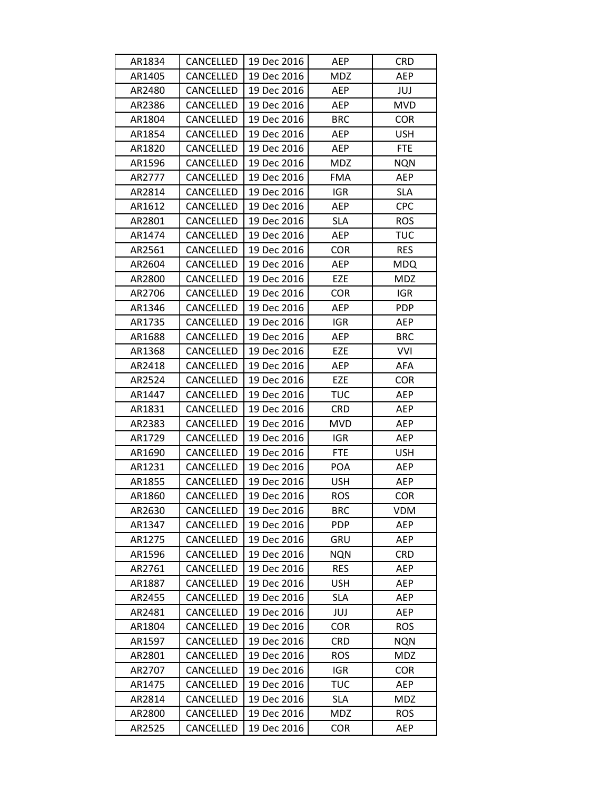| AR1834 | CANCELLED        | 19 Dec 2016 | AEP        | <b>CRD</b> |
|--------|------------------|-------------|------------|------------|
| AR1405 | CANCELLED        | 19 Dec 2016 | <b>MDZ</b> | AEP        |
| AR2480 | CANCELLED        | 19 Dec 2016 | AEP        | JUJ        |
| AR2386 | CANCELLED        | 19 Dec 2016 | AEP        | <b>MVD</b> |
| AR1804 | CANCELLED        | 19 Dec 2016 | <b>BRC</b> | <b>COR</b> |
| AR1854 | CANCELLED        | 19 Dec 2016 | AEP        | <b>USH</b> |
| AR1820 | CANCELLED        | 19 Dec 2016 | AEP        | <b>FTE</b> |
| AR1596 | CANCELLED        | 19 Dec 2016 | <b>MDZ</b> | <b>NQN</b> |
| AR2777 | CANCELLED        | 19 Dec 2016 | <b>FMA</b> | <b>AEP</b> |
| AR2814 | CANCELLED        | 19 Dec 2016 | <b>IGR</b> | <b>SLA</b> |
| AR1612 | CANCELLED        | 19 Dec 2016 | AEP        | <b>CPC</b> |
| AR2801 | CANCELLED        | 19 Dec 2016 | <b>SLA</b> | <b>ROS</b> |
| AR1474 | CANCELLED        | 19 Dec 2016 | AEP        | <b>TUC</b> |
| AR2561 | CANCELLED        | 19 Dec 2016 | <b>COR</b> | <b>RES</b> |
| AR2604 | CANCELLED        | 19 Dec 2016 | <b>AEP</b> | <b>MDQ</b> |
| AR2800 | CANCELLED        | 19 Dec 2016 | EZE        | <b>MDZ</b> |
| AR2706 | CANCELLED        | 19 Dec 2016 | <b>COR</b> | <b>IGR</b> |
| AR1346 | CANCELLED        | 19 Dec 2016 | AEP        | <b>PDP</b> |
| AR1735 | CANCELLED        | 19 Dec 2016 | <b>IGR</b> | AEP        |
| AR1688 | CANCELLED        | 19 Dec 2016 | AEP        | <b>BRC</b> |
| AR1368 | CANCELLED        | 19 Dec 2016 | EZE        | <b>VVI</b> |
| AR2418 | CANCELLED        | 19 Dec 2016 | <b>AEP</b> | <b>AFA</b> |
| AR2524 | CANCELLED        | 19 Dec 2016 | EZE        | <b>COR</b> |
| AR1447 | CANCELLED        | 19 Dec 2016 | <b>TUC</b> | AEP        |
| AR1831 | CANCELLED        | 19 Dec 2016 | <b>CRD</b> | AEP        |
| AR2383 | CANCELLED        | 19 Dec 2016 | <b>MVD</b> | AEP        |
| AR1729 | CANCELLED        | 19 Dec 2016 | <b>IGR</b> | AEP        |
| AR1690 | CANCELLED        | 19 Dec 2016 | <b>FTE</b> | <b>USH</b> |
| AR1231 | CANCELLED        | 19 Dec 2016 | POA        | <b>AEP</b> |
| AR1855 | CANCELLED        | 19 Dec 2016 | <b>USH</b> | AEP        |
| AR1860 | <b>CANCELLED</b> | 19 Dec 2016 | <b>ROS</b> | <b>COR</b> |
| AR2630 | CANCELLED        | 19 Dec 2016 | <b>BRC</b> | <b>VDM</b> |
| AR1347 | CANCELLED        | 19 Dec 2016 | <b>PDP</b> | AEP        |
| AR1275 | CANCELLED        | 19 Dec 2016 | GRU        | AEP        |
| AR1596 | CANCELLED        | 19 Dec 2016 | <b>NQN</b> | <b>CRD</b> |
| AR2761 | CANCELLED        | 19 Dec 2016 | <b>RES</b> | AEP        |
| AR1887 | CANCELLED        | 19 Dec 2016 | <b>USH</b> | AEP        |
| AR2455 | CANCELLED        | 19 Dec 2016 | <b>SLA</b> | AEP        |
| AR2481 | CANCELLED        | 19 Dec 2016 | JUJ        | AEP        |
| AR1804 | CANCELLED        | 19 Dec 2016 | <b>COR</b> | <b>ROS</b> |
| AR1597 | CANCELLED        | 19 Dec 2016 | <b>CRD</b> | <b>NQN</b> |
| AR2801 | CANCELLED        | 19 Dec 2016 | <b>ROS</b> | <b>MDZ</b> |
| AR2707 | CANCELLED        | 19 Dec 2016 | <b>IGR</b> | <b>COR</b> |
| AR1475 | CANCELLED        | 19 Dec 2016 | <b>TUC</b> | AEP        |
| AR2814 | CANCELLED        | 19 Dec 2016 | <b>SLA</b> | MDZ        |
| AR2800 | CANCELLED        | 19 Dec 2016 | MDZ        | <b>ROS</b> |
| AR2525 | CANCELLED        | 19 Dec 2016 | COR        | AEP        |